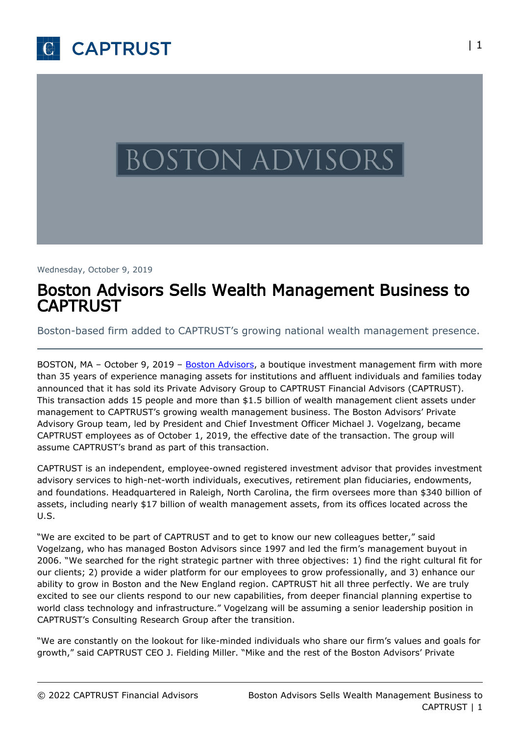



Wednesday, October 9, 2019

# Boston Advisors Sells Wealth Management Business to CAPTRUST

Boston-based firm added to CAPTRUST's growing national wealth management presence.

BOSTON, MA – October 9, 2019 – [Boston Advisors,](https://www.bostonadvisors.com/) a boutique investment management firm with more than 35 years of experience managing assets for institutions and affluent individuals and families today announced that it has sold its Private Advisory Group to CAPTRUST Financial Advisors (CAPTRUST). This transaction adds 15 people and more than \$1.5 billion of wealth management client assets under management to CAPTRUST's growing wealth management business. The Boston Advisors' Private Advisory Group team, led by President and Chief Investment Officer Michael J. Vogelzang, became CAPTRUST employees as of October 1, 2019, the effective date of the transaction. The group will assume CAPTRUST's brand as part of this transaction.

CAPTRUST is an independent, employee-owned registered investment advisor that provides investment advisory services to high-net-worth individuals, executives, retirement plan fiduciaries, endowments, and foundations. Headquartered in Raleigh, North Carolina, the firm oversees more than \$340 billion of assets, including nearly \$17 billion of wealth management assets, from its offices located across the U.S.

"We are excited to be part of CAPTRUST and to get to know our new colleagues better," said Vogelzang, who has managed Boston Advisors since 1997 and led the firm's management buyout in 2006. "We searched for the right strategic partner with three objectives: 1) find the right cultural fit for our clients; 2) provide a wider platform for our employees to grow professionally, and 3) enhance our ability to grow in Boston and the New England region. CAPTRUST hit all three perfectly. We are truly excited to see our clients respond to our new capabilities, from deeper financial planning expertise to world class technology and infrastructure." Vogelzang will be assuming a senior leadership position in CAPTRUST's Consulting Research Group after the transition.

"We are constantly on the lookout for like-minded individuals who share our firm's values and goals for growth," said CAPTRUST CEO J. Fielding Miller. "Mike and the rest of the Boston Advisors' Private